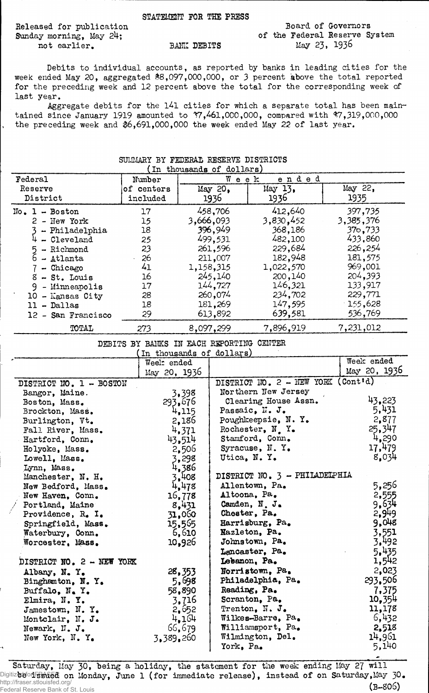## STATEMENT FOR THE PRESS

Released for publication **Board of Governors** not earlier. BAMIL DEBITS May 23, 1936

Sunday morning, May 24;  $\qquad \qquad$  of the Federal Reserve System

Debits to individual accounts, as reported by banks in leading cities for the week ended May 20, aggregated \$8,097,000,000, or 3 percent above the total reported for the preceding week and 12 percent above the total for the corresponding week of last year.

Aggregate debits for the l4l cities for which a separate total has been maintained since January 1919 amounted to T7,461,000,000, compared with ^7,319,000,000 , the preceding week and  $$6,691,000,000$  the week ended May 22 of last year.

| Federal                                                                                                                                                                             | Number                                                             | In nnongemme or motrana)<br>ended<br>W<br>e e k                                                                           |                                                                                                                           |                                                                                                                         |  |  |
|-------------------------------------------------------------------------------------------------------------------------------------------------------------------------------------|--------------------------------------------------------------------|---------------------------------------------------------------------------------------------------------------------------|---------------------------------------------------------------------------------------------------------------------------|-------------------------------------------------------------------------------------------------------------------------|--|--|
| Reserve<br>District                                                                                                                                                                 | of centers<br>included                                             | May 20 <sub>2</sub><br>1936                                                                                               | May 13.<br>1936                                                                                                           | May $22$ ,<br>1935                                                                                                      |  |  |
| $No. 1 - Boston$<br>$2 - New York$<br>- Philadelphia<br>- Cleveland<br>- Richmond<br>6<br>- Atlanta<br>- Chicago<br>- St. Louis<br>- Minneapolis<br>10 - Kansas City<br>11 - Dallas | 17<br>15<br>18<br>25<br>23<br>26<br>41<br>16<br>$17\,$<br>28<br>18 | 458,706<br>3,666,093<br>396,949<br>499,531<br>261,596<br>211,007<br>1,158,315<br>245,140<br>144,727<br>260,074<br>181,269 | 412,640<br>3,830,452<br>368,186<br>482,100<br>229,684<br>182,948<br>1,022,570<br>200,140<br>146,321<br>234,702<br>147,595 | 397,735<br>3,385,376<br>370,733<br>433,860<br>226,254<br>181,575<br>969,001<br>204,393<br>133,917<br>229,771<br>155,628 |  |  |
| 12 - San Francisco                                                                                                                                                                  | 29                                                                 | 613,892                                                                                                                   | 639,581                                                                                                                   | 536,769                                                                                                                 |  |  |
| TOTAL                                                                                                                                                                               | 273                                                                | 8,097,299                                                                                                                 | 7,896,919                                                                                                                 | 7,231,012                                                                                                               |  |  |

## SUMMARY BY FEDERAL RESERVE DISTRICTS  $(m_{\text{trans}})$

DEBITS BY BAMKS IN EACH REPORTING CENTER

|  | ___________ |  |                           |  |
|--|-------------|--|---------------------------|--|
|  |             |  | (In thousands of dollars) |  |

|                           | Week ended   |                                             | Week ended   |
|---------------------------|--------------|---------------------------------------------|--------------|
|                           | May 20, 1936 |                                             | May 20, 1936 |
| DISTRICT NO. 1 - BOSTON   |              | DISTRICT NO. $2 - \text{NEW}$ YORK (Cont'd) |              |
| Bangor, Maine.            | 3,398        | Northern New Jersey                         |              |
| Boston, Mass.             | 293,676      | Clearing House Assn.                        | 43,223       |
| Brockton, Mass.           | 4,115        | Passaic, N. J.                              | 5,431        |
| Burlington, Vt.           | 2,186        | Poughkeepsie, N.Y.                          | 2,877        |
| Fall River, Mass.         | 4,371        | Rochester, N.Y.                             | 25,347       |
| Hartford, Conn.           | 43,514       | Stamford, Conn.                             | 4,290        |
| Holyoke, Mass.            | 2,506        | Syracuse, $N. Y$ .                          | 17,479       |
| Lowell, Mass.             | 3,298        | Utica, N.Y.                                 | 8,034        |
| Lynn, Mass.               | 4,386        |                                             |              |
| Manchester, N. H.         | 3.408        | DISTRICT NO. 3 - PHILADELPHIA               |              |
| New Bedford, Mass.        | 4,478        | Allentown, Pa.                              | 5,256        |
| New Haven, Conn.          | 16,778       | Altoona, Pa.                                | 2,555        |
| Portland, Maine           | 8,431        | Camden, N.J.                                | 9.634        |
| Providence, R. I.         | 31,060       | Chester, Pa.                                | 2,949        |
| Springfield, Mass.        | 15,565       | Harrisburg, Pa.                             | 9.048        |
| Waterbury, Conn.          | 6,610        | Nazleton, Pa.                               | 3,551        |
| Worcester, Mass.          | 10,926       | Johnstown, Pa.                              | 3,492        |
|                           |              | Lancaster, Pa.                              | 5.435        |
| DISTRICT NO. 2 - NEW YORK |              | Lebanon, Pa.                                | 1,542        |
| Albany, N.Y.              | 28,353       | Norristown, Pa.                             | 2,023        |
| Binghamton, N.Y.          | 5,698        | Philadelphia, Pa.                           | 293,506      |
| Buffalo, $N_a$ $Y_a$      | 58,890       | Reading, Pa.                                | 7,375        |
| Elmira, N.Y.              | 3,716        | Scranton, Pa.                               | 10,354       |
| Jamestown, N.Y.           | 2,652        | Trenton, $N. Je$                            | 11,178       |
| Montclair, N. J.          | 4.164        | Wilkes-Barre, Pa.                           | 6,432        |
| Newark, N. J.             | 66,679       | Williamsport, Pa.                           | 2,518        |
| New York, N.Y.            | 3,389,260    | Wilmington, Del.                            | 14,961       |
|                           |              | York, Pa.                                   | 5,140        |

Saturday, May 30, being a holiday, the statement for the week ending May 27 will Digitize bools sates on Monday, June 1 (for immediate release), instead of on Saturday, May 30.  $(B-806)$ http://fraser.stlouisfed.org/ Federal Reserve Bank of St. Louis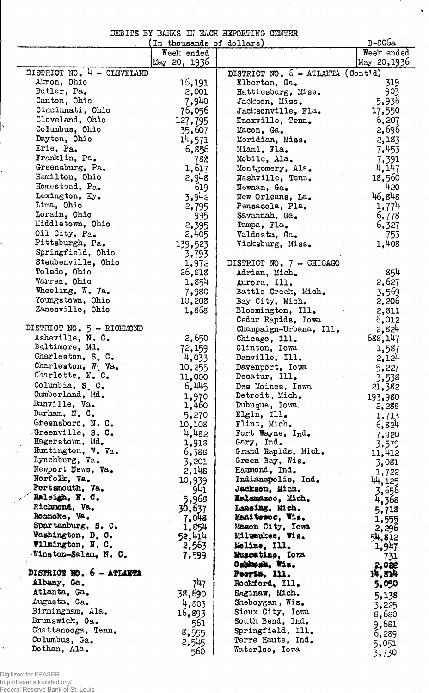|  |  | DEBITS BY BANKS IN EACH REPORTING CENTER |  |
|--|--|------------------------------------------|--|
|  |  |                                          |  |

 $\hat{\bullet}$ 

|                                  | In thousands of dollars) | B-506a                              |                |
|----------------------------------|--------------------------|-------------------------------------|----------------|
|                                  | Week ended               |                                     | Week ended     |
|                                  | May 20, 1936             |                                     | May 20,1936    |
| DISTRICT NO. 4 - CLEVELAND       |                          | DISTRICT NO. $6 - ATLAITA (Cont'd)$ |                |
| Arron, Ohio                      | 16,191                   | Elberton, Ga.                       | 319            |
| Butler, Pa.                      | 2,001                    | Hattiesburg, Miss.                  | 903            |
| Canton, Ohio<br>Cincinnati, Ohio | 7,940                    | Jackson, Miss.                      | 5,936          |
| Cleveland, Ohio                  | 76,056                   | Jacksonville, Fla.                  | 17,550         |
| Columbus, Ohio                   | 127,795                  | Knoxville, Tenn.                    | 6,207          |
| Dayton, Ohio                     | 35,607                   | Macon, Ga.                          | 2,696<br>2,183 |
| Erie, Pa.                        | 14,571<br>6,856          | Meridian, Miss.<br>Miami, Fla.      |                |
| Franklin, Pa.                    |                          |                                     | 7,453          |
| Greensburg, Pa.                  | 78.<br>1,617             | Mobile, Ala.<br>Montgomery, Ala.    | 7,391<br>4,147 |
| Hamilton, Ohio                   | 2,948                    | Nashville, Tenn.                    | 18,560         |
| Homestoad, Pa.                   | 619                      | Newnan, Ga.                         | 420            |
| Lexington, Ky.                   | 3,942                    | New Orleans, La.                    | 46,848         |
| Lima, Ohio                       | 2,795                    | Pensacola, Fla.                     | 1,774          |
| Lorain, Ohio                     | 995                      | Savannah, Ga.                       | 6,778          |
| Middletown, Ohio                 | 2,395                    | Tampa, Fla.                         | 6,327          |
| Oil City, Pa.                    | 2,405                    | Valdosta, Ga.                       | 753            |
| Pittsburgh, Pa.                  | 139,523                  | Vicksburg, Miss.                    | 1,408          |
| Springfield, Ohio                | 3,793                    |                                     |                |
| Steubenville, Ohio               | 1,972                    | DISTRICT NO. 7 - CHICAGO            |                |
| Toledo, Ohio                     | 26,818                   | Adrian, Mich.                       | 854            |
| Warren, Ohio                     | 1,854                    | Aurora, Ill.                        | 2,627          |
| Wheeling, W. Va.                 | 7,980                    | Battle Creek, Mich.                 | 3,569          |
| Youngstown, Ohio                 | 10,208                   | Bay City, Mich.                     | 2,206          |
| Zanesville, Ohio                 | 1,868                    | Bloomington, Ill.                   | 2,811          |
|                                  |                          | Cedar Rapids, Iowa                  | 6,012          |
| DISTRICT NO. 5 - RICHMOND        |                          | Champaign-Urbana, Ill.              | 2,824          |
| Asheville, N. C.                 | 2,650                    | Chicago, Ill.                       | 688,147        |
| Baltimore, Md.                   | 72,159                   | Clinton, Iowa                       | 1,587          |
| Charleston, S.C.                 | 4,033                    | Danville, Ill.                      | 2,124          |
| Charleston, W. Va.               | 10,255                   | Davenport, Iowa                     | $-5,227$       |
| Charlotte, N. C.                 | 11,000                   | Decatur, Ill.                       | 3,538          |
| Columbia, S.C.                   | 6,445                    | Des Moines, Iowa                    | 21,382         |
| Cumberland, Md.                  | 1,970                    | Detroit, Mich.                      | 193,980        |
| Danville, Va.                    | 1,460                    | Dubuque, Iowa                       | 2,288          |
| Durham, N. C.                    | 5,270                    | Elgin, Ill.                         | 1,713          |
| Greensboro, N. C.                | 10,108                   | Flint, Mich.                        | 6,824          |
| Greenville, S. C.                | 4,482                    | Fort Wayne, Ind.                    | 7,920          |
| Hagerstown, Md.                  | 1,918                    | Gary, Ind.                          | 3.579          |
| Huntington, W. Va.               | 6,385                    | Grand Rapids, Mich.                 | 11,412         |
| Lynchburg, Va.                   | 3,201                    | Green Bay, Wis.                     | 3,081          |
| Newport News, Va.                | 2,148                    | Hammond, Ind.                       | 1,722          |
| Norfolk, Va.<br>Portsmouth, Va.  | 10,939                   | Indianapolis, Ind.                  | 44,125         |
| Ralsigh, N. C.                   | 941                      | Jackson, Mich.                      | 3,656          |
| Richmond, Va.                    | 5,968                    | Kalamazoo, Mich.                    | 4,368          |
| Roanoke, Va.                     | 30,637                   | Lansing, Mich.<br>Manitowoc, Wis.   | 5,718          |
| Spartanburg, S. C.               | 7.048<br>1,854           | Mason City, Iowa                    | 1,555          |
| Washington, D. C.                | 52,414                   | Milwaukee, Wis.                     | 2,296          |
| Wilmington, N. C.                | 2,563                    | Moline, Ill.                        | 54,812         |
| Winston-Salem, N. C.             | 7,599                    | Muscatine, Iowa                     | 1,947          |
|                                  |                          | Oshkosk, Win.                       | 731<br>2.022   |
| DISTRICT NO. 5 - ATLANTA         |                          | Peoris, Ill.                        | 14,814         |
| ŧ.<br>Albany, Ga.                | 747                      | Rockford, Ill.                      | 5,050          |
| Atlanta, Ga.                     | 38,690                   | Saginaw, Mich.                      |                |
| Augusta, Ga.                     | 4,803                    | Sheboygan, Wis.                     | 5,138          |
| Birmingham, Ala.                 | 16,893                   | Sioux City, Iowa                    | 3,225          |
| Brunswick, Ga.                   | 561                      | South Bend, Ind.                    | 8,680          |
| Chattanooga, Tenn.               | 8,555                    | Springfield, Ill.                   | 9,681          |
| Columbus, Ga.                    | 2,545                    | Terre Haute, Ind.                   | 6,289          |
| Dothan, Ala.                     | 560                      | Waterloo, Iowa                      | 5,051<br>3,730 |
|                                  |                          |                                     |                |

Digitized for FRASER http://fraser.stlouisfed.org/ Federal Reserve Bank of St. Louis

֦

 $\tilde{\mathcal{L}}$ 

 $\ddot{\phantom{0}}$